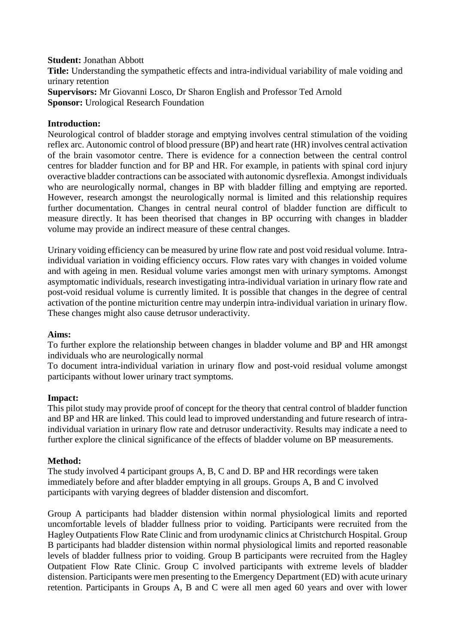#### **Student:** Jonathan Abbott

**Title:** Understanding the sympathetic effects and intra-individual variability of male voiding and urinary retention **Supervisors:** Mr Giovanni Losco, Dr Sharon English and Professor Ted Arnold **Sponsor:** Urological Research Foundation

### **Introduction:**

Neurological control of bladder storage and emptying involves central stimulation of the voiding reflex arc. Autonomic control of blood pressure (BP) and heart rate (HR) involves central activation of the brain vasomotor centre. There is evidence for a connection between the central control centres for bladder function and for BP and HR. For example, in patients with spinal cord injury overactive bladder contractions can be associated with autonomic dysreflexia. Amongst individuals who are neurologically normal, changes in BP with bladder filling and emptying are reported. However, research amongst the neurologically normal is limited and this relationship requires further documentation. Changes in central neural control of bladder function are difficult to measure directly. It has been theorised that changes in BP occurring with changes in bladder volume may provide an indirect measure of these central changes.

Urinary voiding efficiency can be measured by urine flow rate and post void residual volume. Intraindividual variation in voiding efficiency occurs. Flow rates vary with changes in voided volume and with ageing in men. Residual volume varies amongst men with urinary symptoms. Amongst asymptomatic individuals, research investigating intra-individual variation in urinary flow rate and post-void residual volume is currently limited. It is possible that changes in the degree of central activation of the pontine micturition centre may underpin intra-individual variation in urinary flow. These changes might also cause detrusor underactivity.

#### **Aims:**

To further explore the relationship between changes in bladder volume and BP and HR amongst individuals who are neurologically normal

To document intra-individual variation in urinary flow and post-void residual volume amongst participants without lower urinary tract symptoms.

#### **Impact:**

This pilot study may provide proof of concept for the theory that central control of bladder function and BP and HR are linked. This could lead to improved understanding and future research of intraindividual variation in urinary flow rate and detrusor underactivity. Results may indicate a need to further explore the clinical significance of the effects of bladder volume on BP measurements.

# **Method:**

The study involved 4 participant groups A, B, C and D. BP and HR recordings were taken immediately before and after bladder emptying in all groups. Groups A, B and C involved participants with varying degrees of bladder distension and discomfort.

Group A participants had bladder distension within normal physiological limits and reported uncomfortable levels of bladder fullness prior to voiding. Participants were recruited from the Hagley Outpatients Flow Rate Clinic and from urodynamic clinics at Christchurch Hospital. Group B participants had bladder distension within normal physiological limits and reported reasonable levels of bladder fullness prior to voiding. Group B participants were recruited from the Hagley Outpatient Flow Rate Clinic. Group C involved participants with extreme levels of bladder distension. Participants were men presenting to the Emergency Department (ED) with acute urinary retention. Participants in Groups A, B and C were all men aged 60 years and over with lower